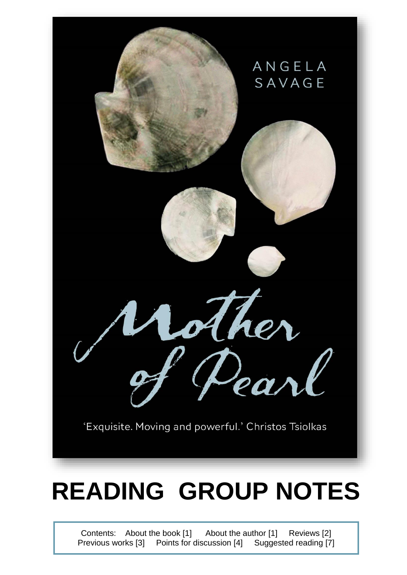

# **READING GROUP NOTES**

Contents: About the book [1] About the author [1] Reviews [2] Previous works [3] Points for discussion [4] Suggested reading [7]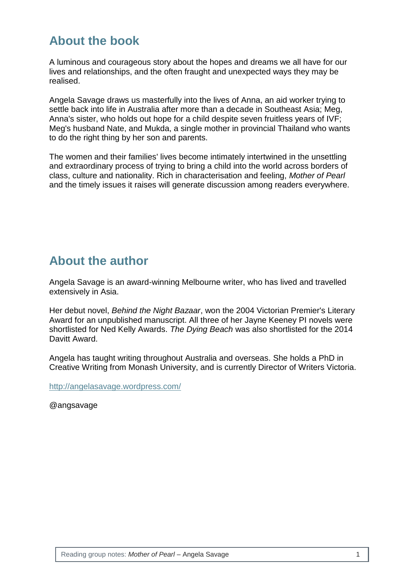## **About the book**

A luminous and courageous story about the hopes and dreams we all have for our lives and relationships, and the often fraught and unexpected ways they may be realised.

Angela Savage draws us masterfully into the lives of Anna, an aid worker trying to settle back into life in Australia after more than a decade in Southeast Asia; Meg, Anna's sister, who holds out hope for a child despite seven fruitless years of IVF; Meg's husband Nate, and Mukda, a single mother in provincial Thailand who wants to do the right thing by her son and parents.

The women and their families' lives become intimately intertwined in the unsettling and extraordinary process of trying to bring a child into the world across borders of class, culture and nationality. Rich in characterisation and feeling, *Mother of Pearl*  and the timely issues it raises will generate discussion among readers everywhere.

## **About the author**

Angela Savage is an award-winning Melbourne writer, who has lived and travelled extensively in Asia.

Her debut novel, *Behind the Night Bazaar*, won the 2004 Victorian Premier's Literary Award for an unpublished manuscript. All three of her Jayne Keeney PI novels were shortlisted for Ned Kelly Awards. *The Dying Beach* was also shortlisted for the 2014 Davitt Award.

Angela has taught writing throughout Australia and overseas. She holds a PhD in Creative Writing from Monash University, and is currently Director of Writers Victoria.

<http://angelasavage.wordpress.com/>

@angsavage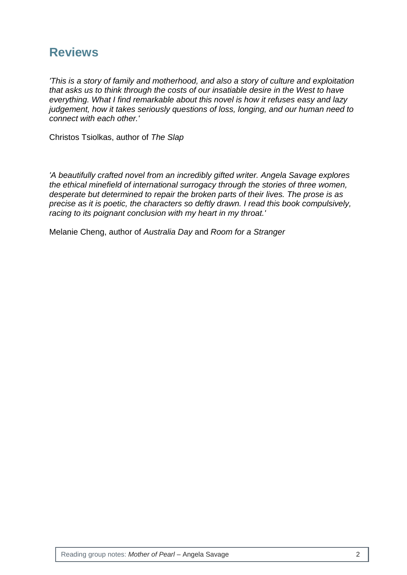## **Reviews**

*'This is a story of family and motherhood, and also a story of culture and exploitation that asks us to think through the costs of our insatiable desire in the West to have everything. What I find remarkable about this novel is how it refuses easy and lazy judgement, how it takes seriously questions of loss, longing, and our human need to connect with each other.'*

Christos Tsiolkas, author of *The Slap*

*'A beautifully crafted novel from an incredibly gifted writer. Angela Savage explores the ethical minefield of international surrogacy through the stories of three women, desperate but determined to repair the broken parts of their lives. The prose is as precise as it is poetic, the characters so deftly drawn. I read this book compulsively, racing to its poignant conclusion with my heart in my throat.'*

Melanie Cheng, author of *Australia Day* and *Room for a Stranger*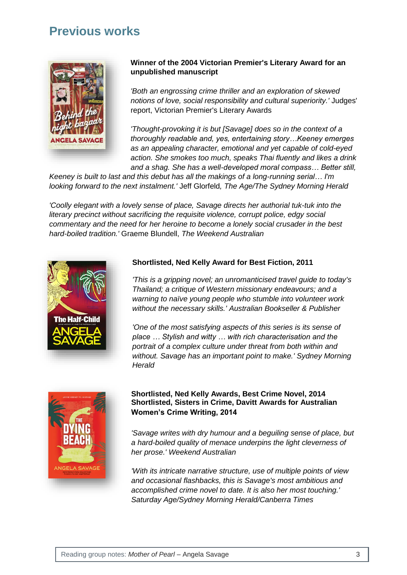### **Previous works**



#### **Winner of the 2004 Victorian Premier's Literary Award for an unpublished manuscript**

*'Both an engrossing crime thriller and an exploration of skewed notions of love, social responsibility and cultural superiority.'* Judges' report, Victorian Premier's Literary Awards

*'Thought-provoking it is but [Savage] does so in the context of a thoroughly readable and, yes, entertaining story…Keeney emerges as an appealing character, emotional and yet capable of cold-eyed action. She smokes too much, speaks Thai fluently and likes a drink and a shag. She has a well-developed moral compass… Better still,* 

*Keeney is built to last and this debut has all the makings of a long-running serial… I'm looking forward to the next instalment.'* Jeff Glorfeld*, The Age/The Sydney Morning Herald*

*'Coolly elegant with a lovely sense of place, Savage directs her authorial tuk-tuk into the literary precinct without sacrificing the requisite violence, corrupt police, edgy social commentary and the need for her heroine to become a lonely social crusader in the best hard-boiled tradition.'* Graeme Blundell, *The Weekend Australian*



#### **Shortlisted, Ned Kelly Award for Best Fiction, 2011**

*'This is a gripping novel; an unromanticised travel guide to today's Thailand; a critique of Western missionary endeavours; and a warning to naïve young people who stumble into volunteer work without the necessary skills.' Australian Bookseller & Publisher*

*'One of the most satisfying aspects of this series is its sense of place … Stylish and witty … with rich characterisation and the portrait of a complex culture under threat from both within and without. Savage has an important point to make.' Sydney Morning Herald*



#### **Shortlisted, Ned Kelly Awards, Best Crime Novel, 2014 Shortlisted, Sisters in Crime, Davitt Awards for Australian Women's Crime Writing, 2014**

*'Savage writes with dry humour and a beguiling sense of place, but a hard-boiled quality of menace underpins the light cleverness of her prose.' Weekend Australian*

*'With its intricate narrative structure, use of multiple points of view and occasional flashbacks, this is Savage's most ambitious and accomplished crime novel to date. It is also her most touching.' Saturday Age/Sydney Morning Herald/Canberra Times*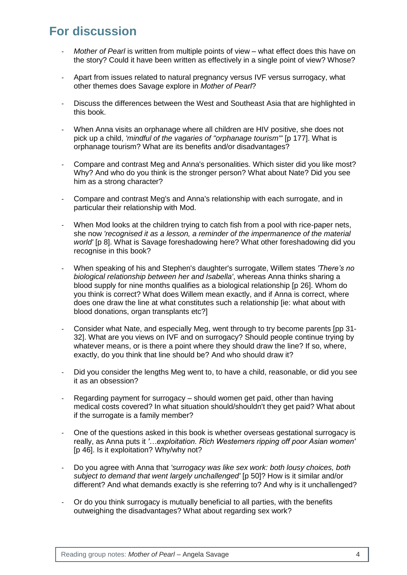# **For discussion**

- *Mother of Pearl* is written from multiple points of view what effect does this have on the story? Could it have been written as effectively in a single point of view? Whose?
- Apart from issues related to natural pregnancy versus IVF versus surrogacy, what other themes does Savage explore in *Mother of Pearl*?
- Discuss the differences between the West and Southeast Asia that are highlighted in this book.
- When Anna visits an orphanage where all children are HIV positive, she does not pick up a child, *'mindful of the vagaries of "orphanage tourism"'* [p 177]. What is orphanage tourism? What are its benefits and/or disadvantages?
- Compare and contrast Meg and Anna's personalities. Which sister did you like most? Why? And who do you think is the stronger person? What about Nate? Did you see him as a strong character?
- Compare and contrast Meg's and Anna's relationship with each surrogate, and in particular their relationship with Mod.
- When Mod looks at the children trying to catch fish from a pool with rice-paper nets, she now *'recognised it as a lesson, a reminder of the impermanence of the material world'* [p 8]. What is Savage foreshadowing here? What other foreshadowing did you recognise in this book?
- When speaking of his and Stephen's daughter's surrogate, Willem states *'There's no biological relationship between her and Isabella'*, whereas Anna thinks sharing a blood supply for nine months qualifies as a biological relationship [p 26]. Whom do you think is correct? What does Willem mean exactly, and if Anna is correct, where does one draw the line at what constitutes such a relationship [ie: what about with blood donations, organ transplants etc?]
- Consider what Nate, and especially Meg, went through to try become parents [pp 31- 32]. What are you views on IVF and on surrogacy? Should people continue trying by whatever means, or is there a point where they should draw the line? If so, where, exactly, do you think that line should be? And who should draw it?
- Did you consider the lengths Meg went to, to have a child, reasonable, or did you see it as an obsession?
- Regarding payment for surrogacy should women get paid, other than having medical costs covered? In what situation should/shouldn't they get paid? What about if the surrogate is a family member?
- One of the questions asked in this book is whether overseas gestational surrogacy is really, as Anna puts it *'…exploitation. Rich Westerners ripping off poor Asian women'*  [p 46]. Is it exploitation? Why/why not?
- Do you agree with Anna that *'surrogacy was like sex work: both lousy choices, both subject to demand that went largely unchallenged'* [p 50]? How is it similar and/or different? And what demands exactly is she referring to? And why is it unchallenged?
- Or do you think surrogacy is mutually beneficial to all parties, with the benefits outweighing the disadvantages? What about regarding sex work?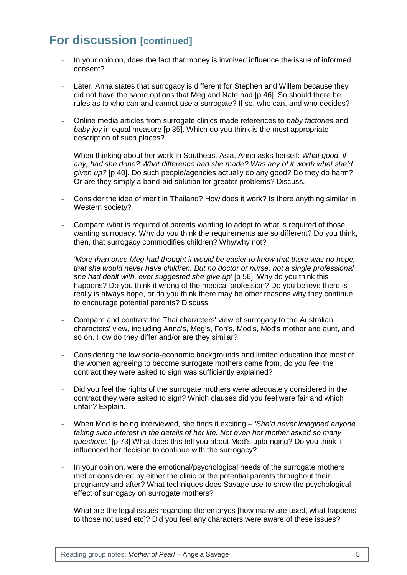# **For discussion [continued]**

- In your opinion, does the fact that money is involved influence the issue of informed consent?
- Later, Anna states that surrogacy is different for Stephen and Willem because they did not have the same options that Meg and Nate had [p 46]. So should there be rules as to who can and cannot use a surrogate? If so, who can, and who decides?
- Online media articles from surrogate clinics made references to *baby factories* and *baby joy* in equal measure [p 35]. Which do you think is the most appropriate description of such places?
- When thinking about her work in Southeast Asia, Anna asks herself: *What good, if any, had she done? What difference had she made? Was any of it worth what she'd given up?* [p 40]. Do such people/agencies actually do any good? Do they do harm? Or are they simply a band-aid solution for greater problems? Discuss.
- Consider the idea of merit in Thailand? How does it work? Is there anything similar in Western society?
- Compare what is required of parents wanting to adopt to what is required of those wanting surrogacy. Why do you think the requirements are so different? Do you think, then, that surrogacy commodifies children? Why/why not?
- *'More than once Meg had thought it would be easier to know that there was no hope, that she would never have children. But no doctor or nurse, not a single professional she had dealt with, ever suggested she give up'* [p 56]. Why do you think this happens? Do you think it wrong of the medical profession? Do you believe there is really is always hope, or do you think there may be other reasons why they continue to encourage potential parents? Discuss.
- Compare and contrast the Thai characters' view of surrogacy to the Australian characters' view, including Anna's, Meg's, Fon's, Mod's, Mod's mother and aunt, and so on. How do they differ and/or are they similar?
- Considering the low socio-economic backgrounds and limited education that most of the women agreeing to become surrogate mothers came from, do you feel the contract they were asked to sign was sufficiently explained?
- Did you feel the rights of the surrogate mothers were adequately considered in the contract they were asked to sign? Which clauses did you feel were fair and which unfair? Explain.
- When Mod is being interviewed, she finds it exciting *'She'd never imagined anyone taking such interest in the details of her life. Not even her mother asked so many questions.'* [p 73] What does this tell you about Mod's upbringing? Do you think it influenced her decision to continue with the surrogacy?
- In your opinion, were the emotional/psychological needs of the surrogate mothers met or considered by either the clinic or the potential parents throughout their pregnancy and after? What techniques does Savage use to show the psychological effect of surrogacy on surrogate mothers?
- What are the legal issues regarding the embryos [how many are used, what happens to those not used etc]? Did you feel any characters were aware of these issues?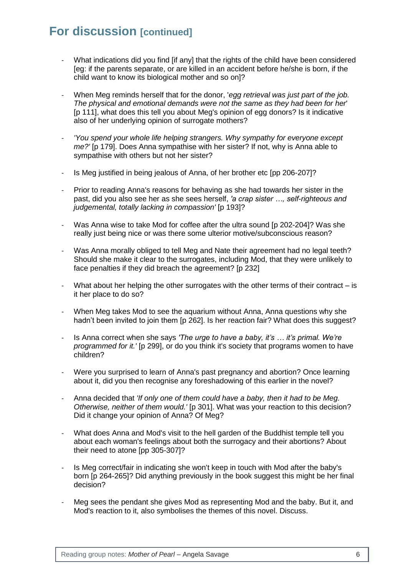## **For discussion [continued]**

- What indications did you find [if any] that the rights of the child have been considered [eg: if the parents separate, or are killed in an accident before he/she is born, if the child want to know its biological mother and so on]?
- When Meg reminds herself that for the donor, '*egg retrieval was just part of the job. The physical and emotional demands were not the same as they had been for her*' [p 111], what does this tell you about Meg's opinion of egg donors? Is it indicative also of her underlying opinion of surrogate mothers?
- *'You spend your whole life helping strangers. Why sympathy for everyone except me?'* [p 179]. Does Anna sympathise with her sister? If not, why is Anna able to sympathise with others but not her sister?
- Is Meg justified in being jealous of Anna, of her brother etc [pp 206-207]?
- Prior to reading Anna's reasons for behaving as she had towards her sister in the past, did you also see her as she sees herself, *'a crap sister …, self-righteous and judgemental, totally lacking in compassion'* [p 193]?
- Was Anna wise to take Mod for coffee after the ultra sound [p 202-204]? Was she really just being nice or was there some ulterior motive/subconscious reason?
- Was Anna morally obliged to tell Meg and Nate their agreement had no legal teeth? Should she make it clear to the surrogates, including Mod, that they were unlikely to face penalties if they did breach the agreement? [p 232]
- What about her helping the other surrogates with the other terms of their contract  $-$  is it her place to do so?
- When Meg takes Mod to see the aquarium without Anna, Anna questions why she hadn't been invited to join them [p 262]. Is her reaction fair? What does this suggest?
- Is Anna correct when she says *'The urge to have a baby, it's … it's primal. We're programmed for it.'* [p 299], or do you think it's society that programs women to have children?
- Were you surprised to learn of Anna's past pregnancy and abortion? Once learning about it, did you then recognise any foreshadowing of this earlier in the novel?
- Anna decided that *'If only one of them could have a baby, then it had to be Meg. Otherwise, neither of them would.'* [p 301]. What was your reaction to this decision? Did it change your opinion of Anna? Of Meg?
- What does Anna and Mod's visit to the hell garden of the Buddhist temple tell you about each woman's feelings about both the surrogacy and their abortions? About their need to atone [pp 305-307]?
- Is Meg correct/fair in indicating she won't keep in touch with Mod after the baby's born [p 264-265]? Did anything previously in the book suggest this might be her final decision?
- Meg sees the pendant she gives Mod as representing Mod and the baby. But it, and Mod's reaction to it, also symbolises the themes of this novel. Discuss.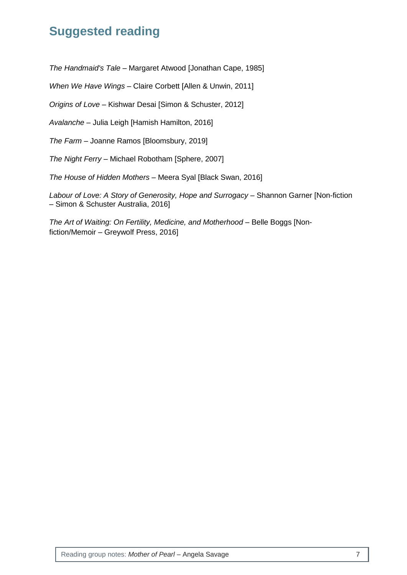# **Suggested reading**

*The Handmaid's Tale* – Margaret Atwood [Jonathan Cape, 1985]

*When We Have Wings* – Claire Corbett [Allen & Unwin, 2011]

*Origins of Love* – Kishwar Desai [Simon & Schuster, 2012]

*Avalanche* – Julia Leigh [Hamish Hamilton, 2016]

*The Farm* – Joanne Ramos [Bloomsbury, 2019]

*The Night Ferry* – Michael Robotham [Sphere, 2007]

*The House of Hidden Mothers* – Meera Syal [Black Swan, 2016]

Labour of Love: A Story of Generosity, Hope and Surrogacy - Shannon Garner [Non-fiction – Simon & Schuster Australia, 2016]

*The Art of Waiting: On Fertility, Medicine, and Motherhood - Belle Boggs [Non*fiction/Memoir – Greywolf Press, 2016]